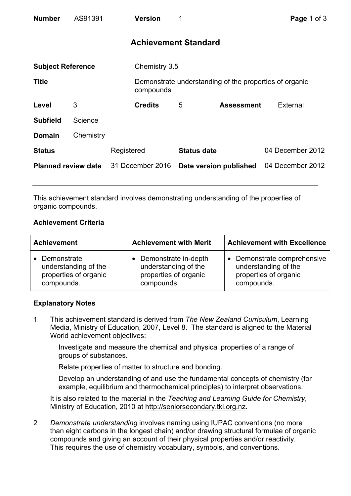| <b>Number</b>              | AS91391   |                  | <b>Version</b>              | 1                      |                   | Page 1 of 3                                            |
|----------------------------|-----------|------------------|-----------------------------|------------------------|-------------------|--------------------------------------------------------|
|                            |           |                  | <b>Achievement Standard</b> |                        |                   |                                                        |
| <b>Subject Reference</b>   |           |                  | Chemistry 3.5               |                        |                   |                                                        |
| <b>Title</b>               |           |                  | compounds                   |                        |                   | Demonstrate understanding of the properties of organic |
| Level                      | 3         |                  | <b>Credits</b>              | 5                      | <b>Assessment</b> | <b>External</b>                                        |
| <b>Subfield</b>            | Science   |                  |                             |                        |                   |                                                        |
| <b>Domain</b>              | Chemistry |                  |                             |                        |                   |                                                        |
| <b>Status</b>              |           | Registered       |                             | <b>Status date</b>     |                   | 04 December 2012                                       |
| <b>Planned review date</b> |           | 31 December 2016 |                             | Date version published |                   | 04 December 2012                                       |

This achievement standard involves demonstrating understanding of the properties of organic compounds.

## **Achievement Criteria**

| <b>Achievement</b>    | <b>Achievement with Merit</b> | <b>Achievement with Excellence</b> |  |
|-----------------------|-------------------------------|------------------------------------|--|
| • Demonstrate         | Demonstrate in-depth          | • Demonstrate comprehensive        |  |
| understanding of the  | understanding of the          | understanding of the               |  |
| properties of organic | properties of organic         | properties of organic              |  |
| compounds.            | compounds.                    | compounds.                         |  |

## **Explanatory Notes**

1 This achievement standard is derived from *The New Zealand Curriculum*, Learning Media, Ministry of Education, 2007, Level 8. The standard is aligned to the Material World achievement objectives:

Investigate and measure the chemical and physical properties of a range of groups of substances.

Relate properties of matter to structure and bonding.

Develop an understanding of and use the fundamental concepts of chemistry (for example, equilibrium and thermochemical principles) to interpret observations.

It is also related to the material in the *Teaching and Learning Guide for Chemistry*, Ministry of Education, 2010 at http://seniorsecondary.tki.org.nz.

2 *Demonstrate understanding* involves naming using IUPAC conventions (no more than eight carbons in the longest chain) and/or drawing structural formulae of organic compounds and giving an account of their physical properties and/or reactivity. This requires the use of chemistry vocabulary, symbols, and conventions.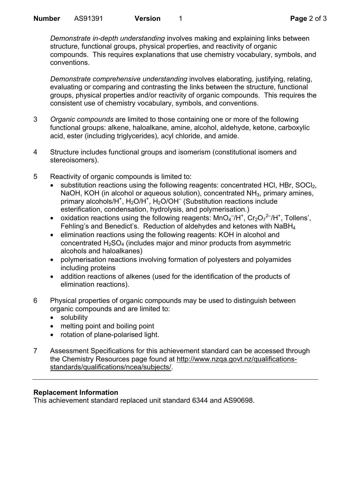*Demonstrate in-depth understanding* involves making and explaining links between structure, functional groups, physical properties, and reactivity of organic compounds. This requires explanations that use chemistry vocabulary, symbols, and conventions.

*Demonstrate comprehensive understanding* involves elaborating, justifying, relating, evaluating or comparing and contrasting the links between the structure, functional groups, physical properties and/or reactivity of organic compounds. This requires the consistent use of chemistry vocabulary, symbols, and conventions.

- 3 *Organic compounds* are limited to those containing one or more of the following functional groups: alkene, haloalkane, amine, alcohol, aldehyde, ketone, carboxylic acid, ester (including triglycerides), acyl chloride, and amide.
- 4 Structure includes functional groups and isomerism (constitutional isomers and stereoisomers).
- 5 Reactivity of organic compounds is limited to:
	- substitution reactions using the following reagents: concentrated HCl, HBr, SOCl<sub>2</sub>, NaOH, KOH (in alcohol or aqueous solution), concentrated  $NH<sub>3</sub>$ , primary amines, primary alcohols/H<sup>+</sup>, H<sub>2</sub>O/H<sup>+</sup>, H<sub>2</sub>O/OH<sup>-</sup> (Substitution reactions include esterification, condensation, hydrolysis, and polymerisation.)
	- oxidation reactions using the following reagents:  $MnO<sub>4</sub><sup>-7</sup>/H<sup>+</sup>, Cr<sub>2</sub>O<sub>7</sub><sup>2</sup><sup>-7</sup>/H<sup>+</sup>, Tollens',$ Fehling's and Benedict's. Reduction of aldehydes and ketones with NaBH4
	- elimination reactions using the following reagents: KOH in alcohol and concentrated  $H_2SO_4$  (includes major and minor products from asymmetric alcohols and haloalkanes)
	- polymerisation reactions involving formation of polyesters and polyamides including proteins
	- addition reactions of alkenes (used for the identification of the products of elimination reactions).
- 6 Physical properties of organic compounds may be used to distinguish between organic compounds and are limited to:
	- solubility
	- melting point and boiling point
	- rotation of plane-polarised light.
- 7 Assessment Specifications for this achievement standard can be accessed through the Chemistry Resources page found at http://www.nzqa.govt.nz/qualificationsstandards/qualifications/ncea/subjects/.

## **Replacement Information**

This achievement standard replaced unit standard 6344 and AS90698.